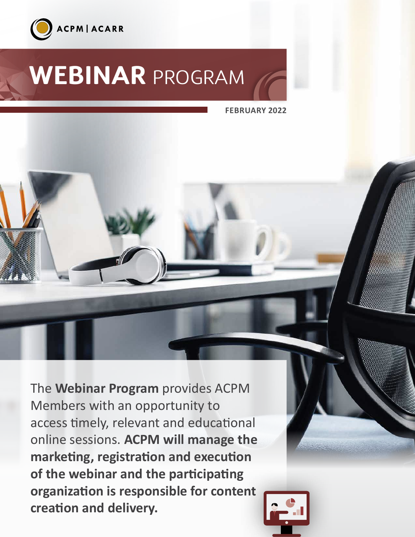

# **[WEBINAR](https://www.acpm.com/programs)** PROGRAM

**FEBRUARY 2022**

The **Webinar Program** provides ACPM Members with an opportunity to access timely, relevant and educational online sessions. **ACPM will manage the marketing, registration and execution of the webinar and the participating organization is responsible for content creation and delivery.**

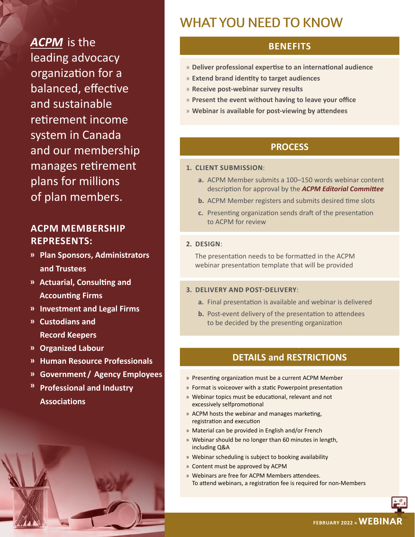*[ACPM](https://www.acpm.com/)* is the leading advocacy organization for a balanced, effective and sustainable retirement income system in Canada and our membership manages retirement plans for millions of plan members.

# **ACPM MEMBERSHIP REPRESENTS:**

- **ͫ Plan Sponsors, Administrators and Trustees**
- **ͫ Actuarial, Consulting and Accounting Firms**
- **ͫ Investment and Legal Firms**
- **ͫ Custodians and Record Keepers**
- **ͫ Organized Labour**
- **ͫ Human Resource Professionals**
- **ͫ Government /  Agency Employees**
- **ͫ Professional and Industry Associations**

# WHAT YOU NEED TO KNOW

## **BENEFITS**

- » **Deliver professional expertise to an international audience**
- » **Extend brand identity to target audiences**
- » **Receive post-webinar survey results**
- » **Present the event without having to leave your office**
- » **Webinar is available for post-viewing by attendees**

### **PROCESS**

#### **1. CLIENT SUBMISSION**:

- **a.** ACPM Member submits a 100–150 words webinar content description for approval by the *[ACPM Editorial Committee](https://www.acpm.com/about-us/national-committees/editorial-committee-(edcom))*
- **b.** ACPM Member registers and submits desired time slots
- **c.** Presenting organization sends draft of the presentation to ACPM for review

#### **2. DESIGN**:

The presentation needs to be formatted in the ACPM webinar presentation template that will be provided

#### **3. DELIVERY AND POST-DELIVERY**:

- **a.** Final presentation is available and webinar is delivered
- **b.** Post-event delivery of the presentation to attendees to be decided by the presenting organization

#### **DETAILS and RESTRICTIONS**

- » Presenting organization must be a current ACPM Member
- » Format is voiceover with a static Powerpoint presentation
- » Webinar topics must be educational, relevant and not excessively selfpromotional
- » ACPM hosts the webinar and manages marketing, registration and execution
- » Material can be provided in English and/or French
- » Webinar should be no longer than 60 minutes in length, including Q&A
- » Webinar scheduling is subject to booking availability
- » Content must be approved by ACPM
- » Webinars are free for ACPM Members attendees. To attend webinars, a registration fee is required for non-Members

**FEBRUARY 2022 » WEBINAR**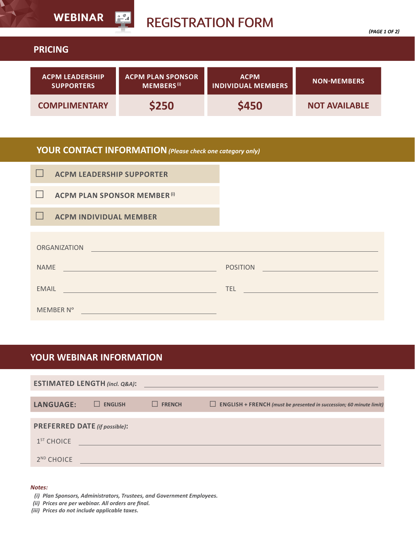|                                             | <b>WEBINAR</b><br><u>ا گھ</u><br><b>REGISTRATION FORM</b><br>(PAGE 1 OF 2) |                                          |                      |  |  |  |
|---------------------------------------------|----------------------------------------------------------------------------|------------------------------------------|----------------------|--|--|--|
| <b>PRICING</b>                              |                                                                            |                                          |                      |  |  |  |
| <b>ACPM LEADERSHIP</b><br><b>SUPPORTERS</b> | <b>ACPM PLAN SPONSOR</b><br><b>MEMBERS</b> <sup>(i)</sup>                  | <b>ACPM</b><br><b>INDIVIDUAL MEMBERS</b> | <b>NON-MEMBERS</b>   |  |  |  |
| <b>COMPLIMENTARY</b>                        | \$250                                                                      | \$450                                    | <b>NOT AVAILABLE</b> |  |  |  |

# **YOUR CONTACT INFORMATION***(Please check one category only)*

| <b>ACPM LEADERSHIP SUPPORTER</b>    |                                                                         |  |  |  |  |
|-------------------------------------|-------------------------------------------------------------------------|--|--|--|--|
| <b>ACPM PLAN SPONSOR MEMBER (i)</b> |                                                                         |  |  |  |  |
| <b>ACPM INDIVIDUAL MEMBER</b>       |                                                                         |  |  |  |  |
| <b>ORGANIZATION</b>                 |                                                                         |  |  |  |  |
| <b>NAME</b>                         | <b>POSITION</b>                                                         |  |  |  |  |
| <b>EMAIL</b>                        | TEL.<br><u> 1980 - Johann Barn, mars an t-Amerikaansk kommunister (</u> |  |  |  |  |
| MEMBER N°                           |                                                                         |  |  |  |  |

## **YOUR WEBINAR INFORMATION**

| <b>ESTIMATED LENGTH (incl. Q&amp;A):</b> |                |               |                                                                               |  |  |  |  |  |
|------------------------------------------|----------------|---------------|-------------------------------------------------------------------------------|--|--|--|--|--|
| <b>LANGUAGE:</b>                         | <b>ENGLISH</b> | <b>FRENCH</b> | ENGLISH + FRENCH (must be presented in succession; 60 minute limit)<br>$\Box$ |  |  |  |  |  |
| <b>PREFERRED DATE (if possible):</b>     |                |               |                                                                               |  |  |  |  |  |
| $1ST$ CHOICE<br>2 <sup>ND</sup> CHOICE   |                |               |                                                                               |  |  |  |  |  |

#### *Notes:*

 $\blacktriangleright$ 

- *(i) Plan Sponsors, Administrators, Trustees, and Government Employees.*
- *(ii) Prices are per webinar. All orders are final.*
- *(iii) Prices do not include applicable taxes.*